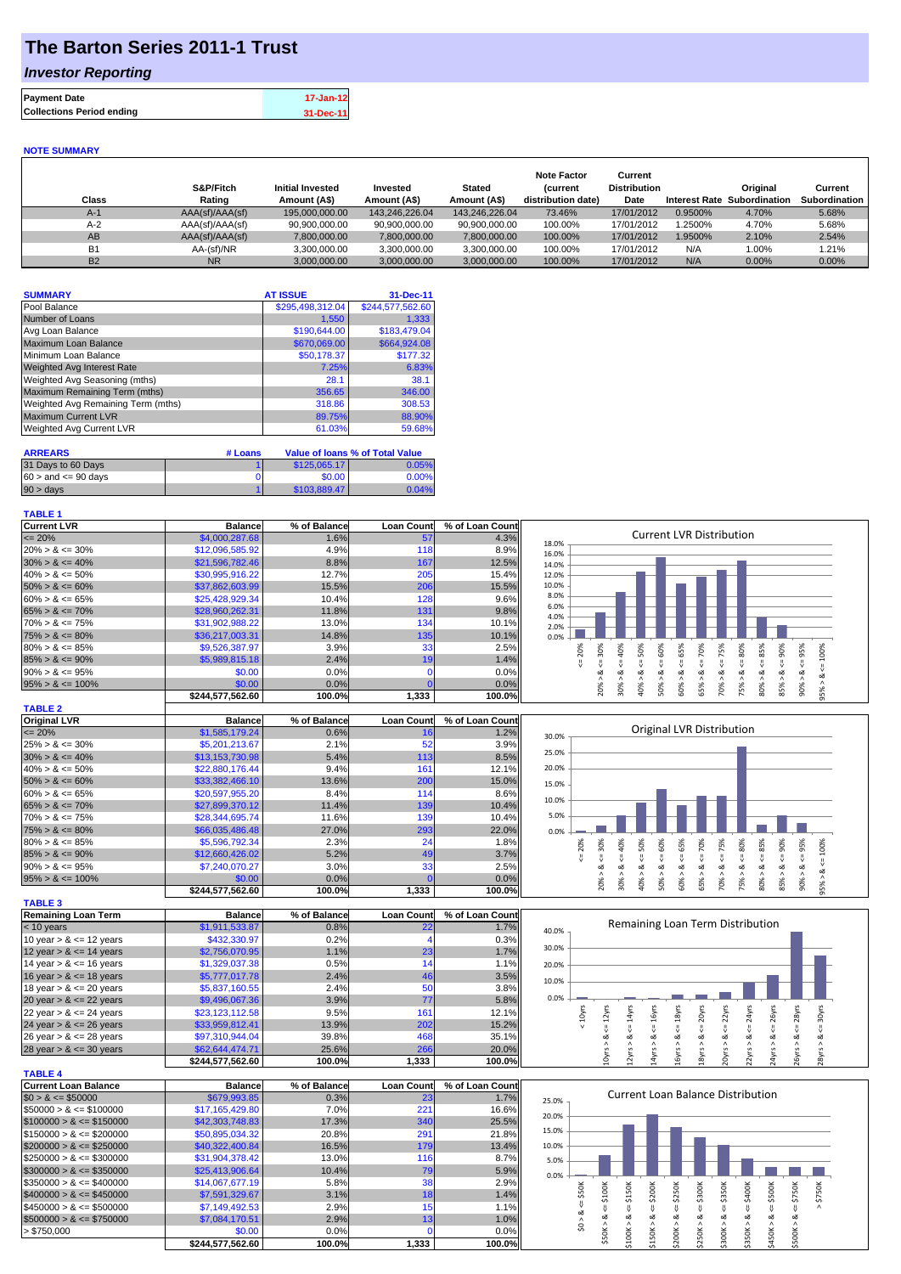## **The Barton Series 2011-1 Trust**

### *Investor Reporting*

| <b>Payment Date</b>              | 17-Jan-12 |
|----------------------------------|-----------|
| <b>Collections Period ending</b> | 31-Dec-11 |

#### **NOTE SUMMARY**

| Class     | S&P/Fitch<br>Rating | <b>Initial Invested</b><br>Amount (A\$) | Invested<br>Amount (A\$) | <b>Stated</b><br>Amount (A\$) | <b>Note Factor</b><br><b>Current</b><br>distribution date) | Current<br><b>Distribution</b><br>Date | <b>Interest Rate</b> | Original<br>Subordination | Current<br>Subordination |
|-----------|---------------------|-----------------------------------------|--------------------------|-------------------------------|------------------------------------------------------------|----------------------------------------|----------------------|---------------------------|--------------------------|
| $A-1$     | AAA(sf)/AAA(sf)     | 195.000.000.00                          | 143.246.226.04           | 143.246.226.04                | 73.46%                                                     | 17/01/2012                             | 0.9500%              | 4.70%                     | 5.68%                    |
| $A-2$     | AAA(sf)/AAA(sf)     | 90.900.000.00                           | 90.900.000.00            | 90.900.000.00                 | 100.00%                                                    | 17/01/2012                             | 1.2500%              | 4.70%                     | 5.68%                    |
| AB        | AAA(sf)/AAA(sf)     | 7,800,000.00                            | 7.800.000.00             | 7,800,000.00                  | 100.00%                                                    | 17/01/2012                             | 1.9500%              | 2.10%                     | 2.54%                    |
| <b>B1</b> | AA-(sf)/NR          | 3.300.000.00                            | 3.300.000.00             | 3.300.000.00                  | 100.00%                                                    | 17/01/2012                             | N/A                  | $1.00\%$                  | 1.21%                    |
| <b>B2</b> | <b>NR</b>           | 3,000,000.00                            | 3.000.000.00             | 3.000.000.00                  | 100.00%                                                    | 17/01/2012                             | N/A                  | 0.00%                     | $0.00\%$                 |

| <b>SUMMARY</b>                     | <b>AT ISSUE</b>  | 31-Dec-11        |
|------------------------------------|------------------|------------------|
| Pool Balance                       | \$295,498,312.04 | \$244,577,562.60 |
| Number of Loans                    | 1,550            | 1,333            |
| Avg Loan Balance                   | \$190,644.00     | \$183,479.04     |
| Maximum Loan Balance               | \$670,069.00     | \$664,924.08     |
| Minimum Loan Balance               | \$50,178.37      | \$177.32         |
| <b>Weighted Avg Interest Rate</b>  | 7.25%            | 6.83%            |
| Weighted Avg Seasoning (mths)      | 28.1             | 38.1             |
| Maximum Remaining Term (mths)      | 356.65           | 346.00           |
| Weighted Avg Remaining Term (mths) | 318.86           | 308.53           |
| <b>Maximum Current LVR</b>         | 89.75%           | 88.90%           |
| Weighted Avg Current LVR           | 61.03%           | 59.68%           |

| <b>ARREARS</b>            | # Loans |              | Value of Ioans % of Total Value |
|---------------------------|---------|--------------|---------------------------------|
| 31 Days to 60 Days        |         | \$125,065,17 | 0.05%                           |
| $60 >$ and $\leq 90$ davs |         | \$0.00       | 0.00%                           |
| $90 > \text{days}$        |         | \$103.889.47 | 0.04%                           |

| <b>TABLE 1</b>       |                  |              |                   |                 |                                                                                                                                                         |
|----------------------|------------------|--------------|-------------------|-----------------|---------------------------------------------------------------------------------------------------------------------------------------------------------|
| <b>Current LVR</b>   | <b>Balance</b>   | % of Balance | <b>Loan Count</b> | % of Loan Count |                                                                                                                                                         |
| $\leq$ 20%           | \$4,000,287.68   | 1.6%         | 57                | 4.3%            | <b>Current LVR Distribution</b><br>18.0%                                                                                                                |
| $20\% > 8 \le 30\%$  | \$12,096,585.92  | 4.9%         | 118               | 8.9%            | 16.0%                                                                                                                                                   |
| $30\% > 8 \le 40\%$  | \$21,596,782.46  | 8.8%         | 167               | 12.5%           | 14.0%                                                                                                                                                   |
| $40\% > 8 \le 50\%$  | \$30,995,916.22  | 12.7%        | 205               | 15.4%           | 12.0%                                                                                                                                                   |
| $50\% > 8 \le 60\%$  | \$37,862,603.99  | 15.5%        | 206               | 15.5%           | 10.0%                                                                                                                                                   |
| $60\% > 8 \le 65\%$  | \$25,428,929.34  | 10.4%        | 128               | 9.6%            | 8.0%                                                                                                                                                    |
| $65\% > 8 \le 70\%$  | \$28,960,262.31  | 11.8%        | 131               | 9.8%            | 6.0%<br>4.0%                                                                                                                                            |
| $70\% > 8 \le 75\%$  | \$31,902,988.22  | 13.0%        | 134               | 10.1%           | 2.0%                                                                                                                                                    |
| $75\% > 8 \le 80\%$  | \$36,217,003.31  | 14.8%        | 135               | 10.1%           | 0.0%                                                                                                                                                    |
| $80\% > 8 \le 85\%$  | \$9,526,387.97   | 3.9%         | 33                | 2.5%            | 95%<br>℅<br>င္တ<br>Š.<br>Š.<br>Ŕ<br>ò<br>ūn,<br>S.<br>Ř                                                                                                 |
| $85\% > 8 \le 90\%$  | \$5,989,815.18   | 2.4%         | 19                | 1.4%            |                                                                                                                                                         |
| $90\% > 8 \le 95\%$  | \$0.00           | 0.0%         |                   | 0.0%            | ಯ                                                                                                                                                       |
| $95\% > 8 \le 100\%$ | \$0.00           | 0.0%         |                   | 0.0%            |                                                                                                                                                         |
|                      | \$244.577.562.60 | 100.0%       | 1,333             | 100.0%          | ð<br>ŏ<br>ŏ<br>Ĥ.<br>0<br>ū٦<br>0<br>0<br>0<br>$\overline{a}$<br>ōō<br>$\infty$<br>$\bar{N}$<br>$\bar{m}$<br>$\bar{z}$<br>$\bar{c}$<br>$\sim$<br>Ō<br>∼ |

| <b>TABLE 2</b>       |                  |              |                   |                 |
|----------------------|------------------|--------------|-------------------|-----------------|
| <b>Original LVR</b>  | <b>Balance</b>   | % of Balance | <b>Loan Count</b> | % of Loan Count |
| $\leq$ 20%           | \$1,585,179.24   | 0.6%         | 16                | 1.2%            |
| $25\% > 8 \le 30\%$  | \$5,201,213.67   | 2.1%         | 52                | 3.9%            |
| $30\% > 8 \le 40\%$  | \$13,153,730,98  | 5.4%         | 113               | 8.5%            |
| $40\% > 8 \le 50\%$  | \$22,880,176.44  | 9.4%         | 161               | 12.1%           |
| $50\% > 8 \le 60\%$  | \$33,382,466.10  | 13.6%        | 200               | 15.0%           |
| $60\% > 8 \le 65\%$  | \$20,597,955,20  | 8.4%         | 114               | 8.6%            |
| $65\% > 8 \le 70\%$  | \$27,899,370.12  | 11.4%        | 139               | 10.4%           |
| $70\% > 8 \le 75\%$  | \$28,344,695,74  | 11.6%        | 139               | 10.4%           |
| $75\% > 8 \le 80\%$  | \$66,035,486.48  | 27.0%        | 293               | 22.0%           |
| $80\% > 8 \le 85\%$  | \$5,596,792.34   | 2.3%         | 24                | 1.8%            |
| $85\% > 8 \le 90\%$  | \$12,660,426,02  | 5.2%         | 49                | 3.7%            |
| $90\% > 8 \le 95\%$  | \$7,240,070.27   | 3.0%         | 33                | 2.5%            |
| $95\% > 8 \le 100\%$ | \$0.00           | 0.0%         |                   | 0.0%            |
|                      | \$244.577.562.60 | 100.0%       | 1,333             | 100.0%          |

| <b>TABLE 3</b>             |                  |              |                   |                 |
|----------------------------|------------------|--------------|-------------------|-----------------|
| <b>Remaining Loan Term</b> | <b>Balance</b>   | % of Balance | <b>Loan Count</b> | % of Loan Count |
| $< 10$ years               | \$1,911,533.87   | 0.8%         | 22                | 1.7%            |
| 10 year $> 8 \le 12$ years | \$432,330.97     | 0.2%         |                   | 0.3%            |
| 12 year $> 8 \le 14$ years | \$2,756,070.95   | 1.1%         | 23                | 1.7%            |
| 14 year $> 8 \le 16$ years | \$1,329,037.38   | 0.5%         | 14                | 1.1%            |
| 16 year $> 8 \le 18$ years | \$5,777,017.78   | 2.4%         | 46                | 3.5%            |
| 18 year $> 8 \le 20$ years | \$5,837,160.55   | 2.4%         | 50                | 3.8%            |
| 20 year $> 8 \le 22$ years | \$9,496,067.36   | 3.9%         | 77                | 5.8%            |
| 22 year $> 8 \le 24$ years | \$23,123,112.58  | 9.5%         | 161               | 12.1%           |
| 24 year $> 8 \le 26$ years | \$33,959,812.41  | 13.9%        | 202               | 15.2%           |
| 26 year $> 8 \le 28$ years | \$97,310,944.04  | 39.8%        | 468               | 35.1%           |
| 28 year $> 8 \le 30$ years | \$62,644,474.71  | 25.6%        | 266               | 20.0%           |
|                            | \$244.577.562.60 | 100.0%       | 1,333             | 100.0%          |

| <b>TABLE 4</b>               |                  |              |                   |                 |
|------------------------------|------------------|--------------|-------------------|-----------------|
| <b>Current Loan Balance</b>  | <b>Balance</b>   | % of Balance | <b>Loan Count</b> | % of Loan Count |
| $$0 > 8 \leq $50000$         | \$679,993.85     | 0.3%         | 231               | 1.7%            |
| $$50000 > 8 \leq $100000$    | \$17.165.429.80  | 7.0%         | 221               | 16.6%           |
| $$100000 > 8 \leq $150000$   | \$42,303,748,83  | 17.3%        | 340               | 25.5%           |
| $$150000 > 8 \leq $200000$   | \$50.895.034.32  | 20.8%        | 291               | 21.8%           |
| $$200000 > 8 \leq $250000$   | \$40.322.400.84  | 16.5%        | 179               | 13.4%           |
| $$250000 > 8 \leq $300000$   | \$31.904.378.42  | 13.0%        | 116               | 8.7%            |
| $$300000 > 8 \leq $350000$   | \$25,413,906.64  | 10.4%        | 79                | 5.9%            |
| $\$350000 > 8 \leq \$400000$ | \$14,067,677.19  | 5.8%         | 38                | 2.9%            |
| $$400000 > 8 \leq $450000$   | \$7,591,329.67   | 3.1%         | 18                | 1.4%            |
| $$450000 > 8 \leq $500000$   | \$7,149,492.53   | 2.9%         | 15                | 1.1%            |
| $$500000 > 8 \leq $750000$   | \$7.084.170.51   | 2.9%         | 13                | 1.0%            |
| > \$750,000                  | \$0.00           | 0.0%         |                   | 0.0%            |
|                              | \$244.577.562.60 | 100.0%       | 1.333             | 100.0%l         |